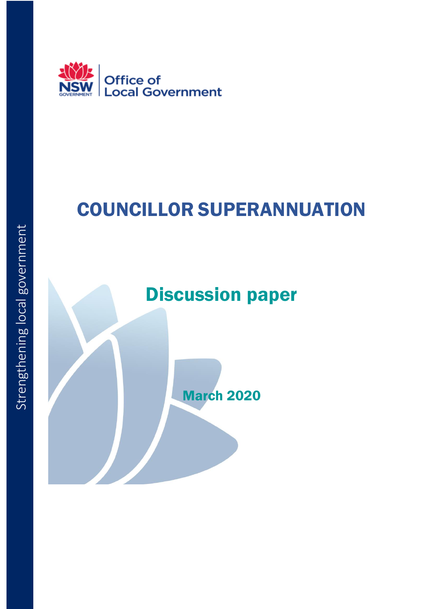

# COUNCILLOR SUPERANNUATION

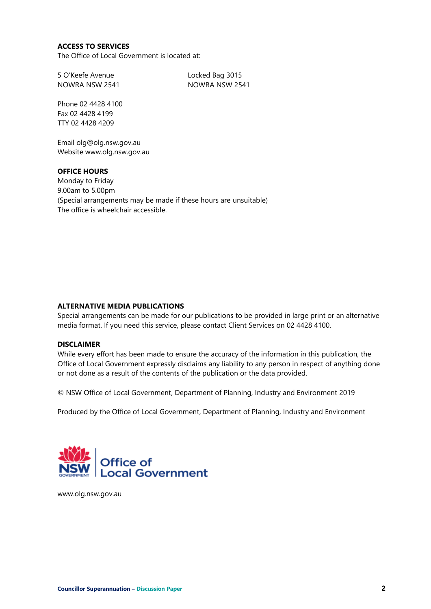#### **ACCESS TO SERVICES**

The Office of Local Government is located at:

5 O'Keefe Avenue Locked Bag 3015 NOWRA NSW 2541 NOWRA NSW 2541

Phone 02 4428 4100 Fax 02 4428 4199 TTY 02 4428 4209

Email olg@olg.nsw.gov.au Website www.olg.nsw.gov.au

#### **OFFICE HOURS**

Monday to Friday 9.00am to 5.00pm (Special arrangements may be made if these hours are unsuitable) The office is wheelchair accessible.

#### **ALTERNATIVE MEDIA PUBLICATIONS**

Special arrangements can be made for our publications to be provided in large print or an alternative media format. If you need this service, please contact Client Services on 02 4428 4100.

#### **DISCLAIMER**

While every effort has been made to ensure the accuracy of the information in this publication, the Office of Local Government expressly disclaims any liability to any person in respect of anything done or not done as a result of the contents of the publication or the data provided.

© NSW Office of Local Government, Department of Planning, Industry and Environment 2019

Produced by the Office of Local Government, Department of Planning, Industry and Environment



www.olg.nsw.gov.au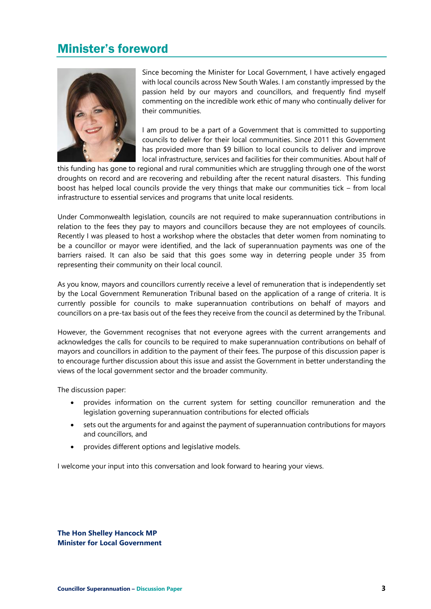### Minister's foreword



Since becoming the Minister for Local Government, I have actively engaged with local councils across New South Wales. I am constantly impressed by the passion held by our mayors and councillors, and frequently find myself commenting on the incredible work ethic of many who continually deliver for their communities.

I am proud to be a part of a Government that is committed to supporting councils to deliver for their local communities. Since 2011 this Government has provided more than \$9 billion to local councils to deliver and improve local infrastructure, services and facilities for their communities. About half of

this funding has gone to regional and rural communities which are struggling through one of the worst droughts on record and are recovering and rebuilding after the recent natural disasters. This funding boost has helped local councils provide the very things that make our communities tick – from local infrastructure to essential services and programs that unite local residents.

Under Commonwealth legislation, councils are not required to make superannuation contributions in relation to the fees they pay to mayors and councillors because they are not employees of councils. Recently I was pleased to host a workshop where the obstacles that deter women from nominating to be a councillor or mayor were identified, and the lack of superannuation payments was one of the barriers raised. It can also be said that this goes some way in deterring people under 35 from representing their community on their local council.

As you know, mayors and councillors currently receive a level of remuneration that is independently set by the Local Government Remuneration Tribunal based on the application of a range of criteria. It is currently possible for councils to make superannuation contributions on behalf of mayors and councillors on a pre-tax basis out of the fees they receive from the council as determined by the Tribunal.

However, the Government recognises that not everyone agrees with the current arrangements and acknowledges the calls for councils to be required to make superannuation contributions on behalf of mayors and councillors in addition to the payment of their fees. The purpose of this discussion paper is to encourage further discussion about this issue and assist the Government in better understanding the views of the local government sector and the broader community.

The discussion paper:

- provides information on the current system for setting councillor remuneration and the legislation governing superannuation contributions for elected officials
- sets out the arguments for and against the payment of superannuation contributions for mayors and councillors, and
- provides different options and legislative models.

I welcome your input into this conversation and look forward to hearing your views.

**The Hon Shelley Hancock MP Minister for Local Government**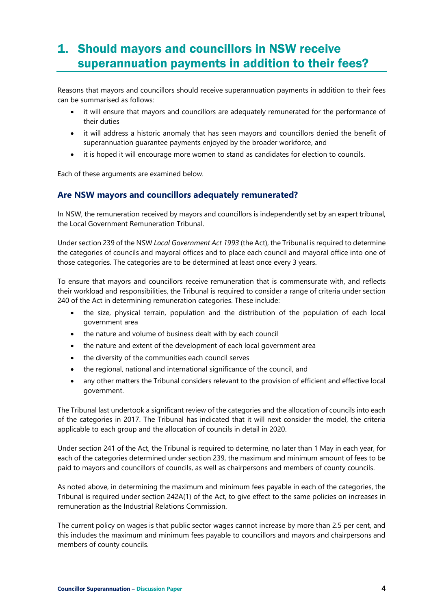# 1. Should mayors and councillors in NSW receive superannuation payments in addition to their fees?

Reasons that mayors and councillors should receive superannuation payments in addition to their fees can be summarised as follows:

- it will ensure that mayors and councillors are adequately remunerated for the performance of their duties
- it will address a historic anomaly that has seen mayors and councillors denied the benefit of superannuation guarantee payments enjoyed by the broader workforce, and
- it is hoped it will encourage more women to stand as candidates for election to councils.

Each of these arguments are examined below.

#### **Are NSW mayors and councillors adequately remunerated?**

In NSW, the remuneration received by mayors and councillors is independently set by an expert tribunal, the Local Government Remuneration Tribunal.

Under section 239 of the NSW *Local Government Act 1993* (the Act), the Tribunal is required to determine the categories of councils and mayoral offices and to place each council and mayoral office into one of those categories. The categories are to be determined at least once every 3 years.

To ensure that mayors and councillors receive remuneration that is commensurate with, and reflects their workload and responsibilities, the Tribunal is required to consider a range of criteria under section 240 of the Act in determining remuneration categories. These include:

- the size, physical terrain, population and the distribution of the population of each local government area
- the nature and volume of business dealt with by each council
- the nature and extent of the development of each local government area
- the diversity of the communities each council serves
- the regional, national and international significance of the council, and
- any other matters the Tribunal considers relevant to the provision of efficient and effective local government.

The Tribunal last undertook a significant review of the categories and the allocation of councils into each of the categories in 2017. The Tribunal has indicated that it will next consider the model, the criteria applicable to each group and the allocation of councils in detail in 2020.

Under section 241 of the Act, the Tribunal is required to determine, no later than 1 May in each year, for each of the categories determined under section 239, the maximum and minimum amount of fees to be paid to mayors and councillors of councils, as well as chairpersons and members of county councils.

As noted above, in determining the maximum and minimum fees payable in each of the categories, the Tribunal is required under section 242A(1) of the Act, to give effect to the same policies on increases in remuneration as the Industrial Relations Commission.

The current policy on wages is that public sector wages cannot increase by more than 2.5 per cent, and this includes the maximum and minimum fees payable to councillors and mayors and chairpersons and members of county councils.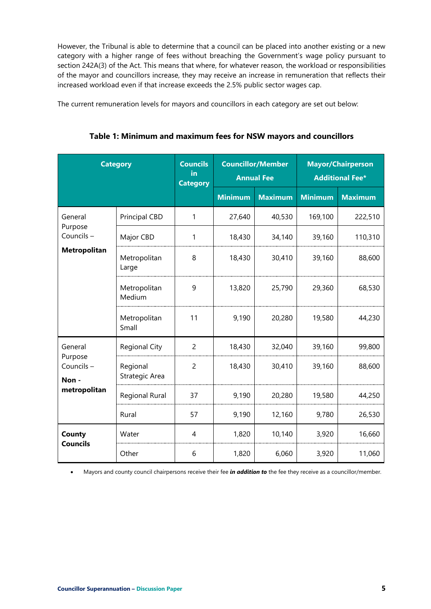However, the Tribunal is able to determine that a council can be placed into another existing or a new category with a higher range of fees without breaching the Government's wage policy pursuant to section 242A(3) of the Act. This means that where, for whatever reason, the workload or responsibilities of the mayor and councillors increase, they may receive an increase in remuneration that reflects their increased workload even if that increase exceeds the 2.5% public sector wages cap.

The current remuneration levels for mayors and councillors in each category are set out below:

| <b>Category</b>                                          |                            | <b>Councils</b><br>in<br><b>Category</b> | <b>Councillor/Member</b><br><b>Annual Fee</b> |                | <b>Mayor/Chairperson</b><br><b>Additional Fee*</b> |                |
|----------------------------------------------------------|----------------------------|------------------------------------------|-----------------------------------------------|----------------|----------------------------------------------------|----------------|
|                                                          |                            |                                          | <b>Minimum</b>                                | <b>Maximum</b> | <b>Minimum</b>                                     | <b>Maximum</b> |
| General                                                  | <b>Principal CBD</b>       | 1                                        | 27,640                                        | 40,530         | 169,100                                            | 222,510        |
| Purpose<br>Councils-                                     | Major CBD                  | 1                                        | 18,430                                        | 34,140         | 39,160                                             | 110,310        |
| <b>Metropolitan</b>                                      | Metropolitan<br>Large      | 8                                        | 18,430                                        | 30,410         | 39,160                                             | 88,600         |
|                                                          | Metropolitan<br>Medium     | 9                                        | 13,820                                        | 25,790         | 29,360                                             | 68,530         |
|                                                          | Metropolitan<br>Small      | 11                                       | 9,190                                         | 20,280         | 19,580                                             | 44,230         |
| General<br>Purpose<br>Councils-<br>Non -<br>metropolitan | <b>Regional City</b>       | $\overline{c}$                           | 18,430                                        | 32,040         | 39,160                                             | 99,800         |
|                                                          | Regional<br>Strategic Area | $\overline{2}$                           | 18,430                                        | 30,410         | 39,160                                             | 88,600         |
|                                                          | Regional Rural             | 37                                       | 9,190                                         | 20,280         | 19,580                                             | 44,250         |
|                                                          | Rural                      | 57                                       | 9,190                                         | 12,160         | 9,780                                              | 26,530         |
| County<br><b>Councils</b>                                | Water                      | 4                                        | 1,820                                         | 10,140         | 3,920                                              | 16,660         |
|                                                          | Other                      | 6                                        | 1,820                                         | 6,060          | 3,920                                              | 11,060         |

**Table 1: Minimum and maximum fees for NSW mayors and councillors**

• Mayors and county council chairpersons receive their fee *in addition to* the fee they receive as a councillor/member.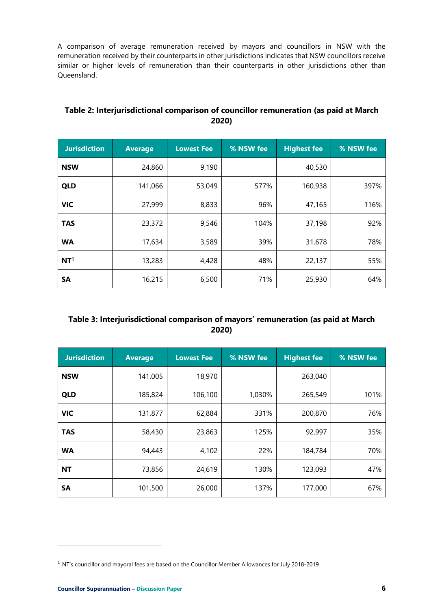A comparison of average remuneration received by mayors and councillors in NSW with the remuneration received by their counterparts in other jurisdictions indicates that NSW councillors receive similar or higher levels of remuneration than their counterparts in other jurisdictions other than Queensland.

| <b>Jurisdiction</b> | <b>Average</b> | <b>Lowest Fee</b> | % NSW fee | <b>Highest fee</b> | % NSW fee |
|---------------------|----------------|-------------------|-----------|--------------------|-----------|
| <b>NSW</b>          | 24,860         | 9,190             |           | 40,530             |           |
| <b>QLD</b>          | 141,066        | 53,049            | 577%      | 160,938            | 397%      |
| <b>VIC</b>          | 27,999         | 8,833             | 96%       | 47,165             | 116%      |
| <b>TAS</b>          | 23,372         | 9,546             | 104%      | 37,198             | 92%       |
| <b>WA</b>           | 17,634         | 3,589             | 39%       | 31,678             | 78%       |
| NT <sup>1</sup>     | 13,283         | 4,428             | 48%       | 22,137             | 55%       |
| SA                  | 16,215         | 6,500             | 71%       | 25,930             | 64%       |

#### **Table 2: Interjurisdictional comparison of councillor remuneration (as paid at March 2020)**

#### **Table 3: Interjurisdictional comparison of mayors' remuneration (as paid at March 2020)**

| <b>Jurisdiction</b> | <b>Average</b> | <b>Lowest Fee</b> | % NSW fee | <b>Highest fee</b> | % NSW fee |
|---------------------|----------------|-------------------|-----------|--------------------|-----------|
| <b>NSW</b>          | 141,005        | 18,970            |           | 263,040            |           |
| <b>QLD</b>          | 185,824        | 106,100           | 1,030%    | 265,549            | 101%      |
| <b>VIC</b>          | 131,877        | 62,884            | 331%      | 200,870            | 76%       |
| <b>TAS</b>          | 58,430         | 23,863            | 125%      | 92,997             | 35%       |
| <b>WA</b>           | 94,443         | 4,102             | 22%       | 184,784            | 70%       |
| <b>NT</b>           | 73,856         | 24,619            | 130%      | 123,093            | 47%       |
| SΑ                  | 101,500        | 26,000            | 137%      | 177,000            | 67%       |

<sup>1</sup> NT's councillor and mayoral fees are based on the Councillor Member Allowances for July 2018-2019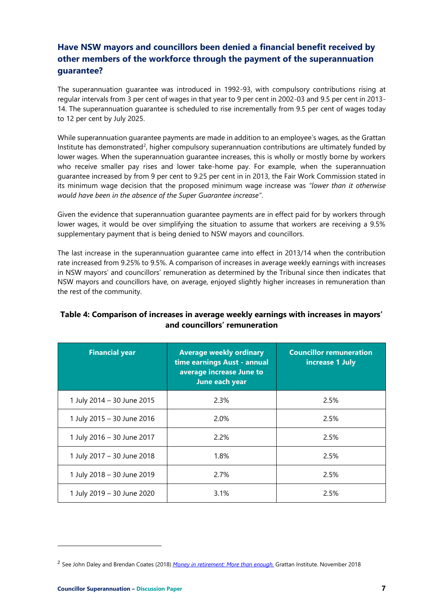#### **Have NSW mayors and councillors been denied a financial benefit received by other members of the workforce through the payment of the superannuation guarantee?**

The superannuation guarantee was introduced in 1992-93, with compulsory contributions rising at regular intervals from 3 per cent of wages in that year to 9 per cent in 2002-03 and 9.5 per cent in 2013- 14. The superannuation guarantee is scheduled to rise incrementally from 9.5 per cent of wages today to 12 per cent by July 2025.

While superannuation guarantee payments are made in addition to an employee's wages, as the Grattan Institute has demonstrated<sup>2</sup>, higher compulsory superannuation contributions are ultimately funded by lower wages. When the superannuation guarantee increases, this is wholly or mostly borne by workers who receive smaller pay rises and lower take-home pay. For example, when the superannuation guarantee increased by from 9 per cent to 9.25 per cent in in 2013, the Fair Work Commission stated in its minimum wage decision that the proposed minimum wage increase was *"lower than it otherwise would have been in the absence of the Super Guarantee increase"*.

Given the evidence that superannuation guarantee payments are in effect paid for by workers through lower wages, it would be over simplifying the situation to assume that workers are receiving a 9.5% supplementary payment that is being denied to NSW mayors and councillors.

The last increase in the superannuation guarantee came into effect in 2013/14 when the contribution rate increased from 9.25% to 9.5%. A comparison of increases in average weekly earnings with increases in NSW mayors' and councillors' remuneration as determined by the Tribunal since then indicates that NSW mayors and councillors have, on average, enjoyed slightly higher increases in remuneration than the rest of the community.

#### **Table 4: Comparison of increases in average weekly earnings with increases in mayors' and councillors' remuneration**

| <b>Financial year</b>      | <b>Average weekly ordinary</b><br>time earnings Aust - annual<br>average increase June to<br>June each year | <b>Councillor remuneration</b><br>increase 1 July |  |
|----------------------------|-------------------------------------------------------------------------------------------------------------|---------------------------------------------------|--|
| 1 July 2014 - 30 June 2015 | 2.3%                                                                                                        | 2.5%                                              |  |
| 1 July 2015 - 30 June 2016 | 2.0%                                                                                                        | 2.5%                                              |  |
| 1 July 2016 - 30 June 2017 | 2.2%                                                                                                        | 2.5%                                              |  |
| 1 July 2017 - 30 June 2018 | 1.8%                                                                                                        | 2.5%                                              |  |
| 1 July 2018 - 30 June 2019 | 2.7%                                                                                                        | 2.5%                                              |  |
| 1 July 2019 - 30 June 2020 | 3.1%                                                                                                        | 2.5%                                              |  |

<sup>2</sup> See John Daley and Brendan Coates (2018) *[Money in retirement: More than enough.](https://grattan.edu.au/wp-content/uploads/2018/11/912-Money-in-retirement.pdf)* Grattan Institute. November 2018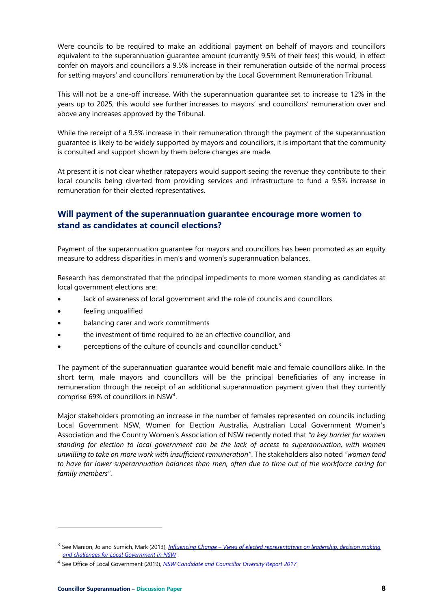Were councils to be required to make an additional payment on behalf of mayors and councillors equivalent to the superannuation guarantee amount (currently 9.5% of their fees) this would, in effect confer on mayors and councillors a 9.5% increase in their remuneration outside of the normal process for setting mayors' and councillors' remuneration by the Local Government Remuneration Tribunal.

This will not be a one-off increase. With the superannuation guarantee set to increase to 12% in the years up to 2025, this would see further increases to mayors' and councillors' remuneration over and above any increases approved by the Tribunal.

While the receipt of a 9.5% increase in their remuneration through the payment of the superannuation guarantee is likely to be widely supported by mayors and councillors, it is important that the community is consulted and support shown by them before changes are made.

At present it is not clear whether ratepayers would support seeing the revenue they contribute to their local councils being diverted from providing services and infrastructure to fund a 9.5% increase in remuneration for their elected representatives.

#### **Will payment of the superannuation guarantee encourage more women to stand as candidates at council elections?**

Payment of the superannuation guarantee for mayors and councillors has been promoted as an equity measure to address disparities in men's and women's superannuation balances.

Research has demonstrated that the principal impediments to more women standing as candidates at local government elections are:

- lack of awareness of local government and the role of councils and councillors
- feeling unqualified
- balancing carer and work commitments
- the investment of time required to be an effective councillor, and
- perceptions of the culture of councils and councillor conduct.<sup>3</sup>

The payment of the superannuation guarantee would benefit male and female councillors alike. In the short term, male mayors and councillors will be the principal beneficiaries of any increase in remuneration through the receipt of an additional superannuation payment given that they currently comprise 69% of councillors in NSW<sup>4</sup> .

Major stakeholders promoting an increase in the number of females represented on councils including Local Government NSW, Women for Election Australia, Australian Local Government Women's Association and the Country Women's Association of NSW recently noted that *"a key barrier for women standing for election to local government can be the lack of access to superannuation, with women unwilling to take on more work with insufficient remuneration"*. The stakeholders also noted *"women tend to have far lower superannuation balances than men, often due to time out of the workforce caring for family members"*.

<sup>3</sup> See Manion, Jo and Sumich, Mark (2013), *[Influencing Change](https://www.lgnsw.org.au/files/imce-uploads/90/Influencing%20Change%20-16%20Sep%202013.pdf) – Views of elected representatives on leadership, decision making and challenges for Local Government in NSW*

<sup>4</sup> See Office of Local Government (2019), *[NSW Candidate and Councillor Diversity Report 2017](https://www.olg.nsw.gov.au/sites/default/files/Candidate%20and%20Councillor%20Diversity%20Report%202017_0.pdf)*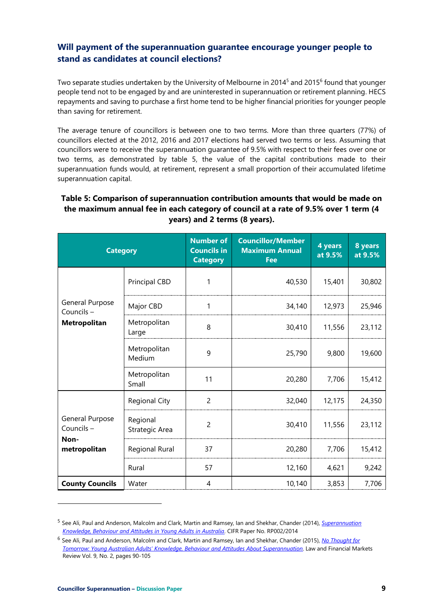#### **Will payment of the superannuation guarantee encourage younger people to stand as candidates at council elections?**

Two separate studies undertaken by the University of Melbourne in 2014<sup>5</sup> and 2015<sup>6</sup> found that younger people tend not to be engaged by and are uninterested in superannuation or retirement planning. HECS repayments and saving to purchase a first home tend to be higher financial priorities for younger people than saving for retirement.

The average tenure of councillors is between one to two terms. More than three quarters (77%) of councillors elected at the 2012, 2016 and 2017 elections had served two terms or less. Assuming that councillors were to receive the superannuation guarantee of 9.5% with respect to their fees over one or two terms, as demonstrated by table 5, the value of the capital contributions made to their superannuation funds would, at retirement, represent a small proportion of their accumulated lifetime superannuation capital.

#### **Table 5: Comparison of superannuation contribution amounts that would be made on the maximum annual fee in each category of council at a rate of 9.5% over 1 term (4 years) and 2 terms (8 years).**

| <b>Category</b>                                      |                            | <b>Number of</b><br><b>Councils in</b><br><b>Category</b> | <b>Councillor/Member</b><br><b>Maximum Annual</b><br><b>Fee</b> | 4 years<br>at 9.5% | 8 years<br>at 9.5% |
|------------------------------------------------------|----------------------------|-----------------------------------------------------------|-----------------------------------------------------------------|--------------------|--------------------|
|                                                      | <b>Principal CBD</b>       | 1                                                         | 40,530                                                          | 15,401             | 30,802             |
| General Purpose<br>Councils-                         | Major CBD                  | 1                                                         | 34,140                                                          | 12,973             | 25,946             |
| <b>Metropolitan</b>                                  | Metropolitan<br>Large      | 8                                                         | 30,410                                                          | 11,556             | 23,112             |
|                                                      | Metropolitan<br>Medium     | 9                                                         | 25,790                                                          | 9,800              | 19,600             |
|                                                      | Metropolitan<br>Small      | 11                                                        | 20,280                                                          | 7,706              | 15,412             |
| General Purpose<br>Councils-<br>Non-<br>metropolitan | <b>Regional City</b>       | $\overline{c}$                                            | 32,040                                                          | 12,175             | 24,350             |
|                                                      | Regional<br>Strategic Area | $\overline{2}$                                            | 30,410                                                          | 11,556             | 23,112             |
|                                                      | Regional Rural             | 37                                                        | 20,280                                                          | 7,706              | 15,412             |
|                                                      | Rural                      | 57                                                        | 12,160                                                          | 4,621              | 9,242              |
| <b>County Councils</b>                               | Water                      | 4                                                         | 10,140                                                          | 3,853              | 7,706              |

<sup>5</sup> See Ali, Paul and Anderson, Malcolm and Clark, Martin and Ramsey, Ian and Shekhar, Chander (2014), *[Superannuation](https://papers.ssrn.com/sol3/papers.cfm?abstract_id=2506374)  [Knowledge, Behaviour and Attitudes in Young Adults in Australia](https://papers.ssrn.com/sol3/papers.cfm?abstract_id=2506374)*. CIFR Paper No. RP002/2014

<sup>6</sup> See Ali, Paul and Anderson, Malcolm and Clark, Martin and Ramsey, Ian and Shekhar, Chander (2015), *[No Thought for](https://papers.ssrn.com/sol3/papers.cfm?abstract_id=2784615)  [Tomorrow: Young Australian Adults' Knowledge, Behaviour and Attitudes](https://papers.ssrn.com/sol3/papers.cfm?abstract_id=2784615) About Superannuation*. Law and Financial Markets Review Vol. 9, No. 2, pages 90-105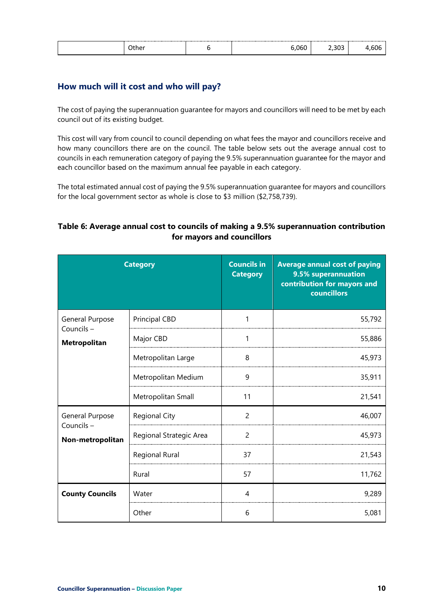| . . |  | ำห |  |  |
|-----|--|----|--|--|
|-----|--|----|--|--|

#### **How much will it cost and who will pay?**

The cost of paying the superannuation guarantee for mayors and councillors will need to be met by each council out of its existing budget.

This cost will vary from council to council depending on what fees the mayor and councillors receive and how many councillors there are on the council. The table below sets out the average annual cost to councils in each remuneration category of paying the 9.5% superannuation guarantee for the mayor and each councillor based on the maximum annual fee payable in each category.

The total estimated annual cost of paying the 9.5% superannuation guarantee for mayors and councillors for the local government sector as whole is close to \$3 million (\$2,758,739).

#### **Table 6: Average annual cost to councils of making a 9.5% superannuation contribution for mayors and councillors**

| <b>Category</b>                                  |                         | <b>Councils in</b><br><b>Category</b> | <b>Average annual cost of paying</b><br>9.5% superannuation<br>contribution for mayors and<br><b>councillors</b> |
|--------------------------------------------------|-------------------------|---------------------------------------|------------------------------------------------------------------------------------------------------------------|
| General Purpose<br>Councils-                     | <b>Principal CBD</b>    | 1                                     | 55,792                                                                                                           |
| Metropolitan                                     | Major CBD               | 1                                     | 55,886                                                                                                           |
|                                                  | Metropolitan Large      | 8                                     | 45,973                                                                                                           |
|                                                  | Metropolitan Medium     | 9                                     | 35,911                                                                                                           |
|                                                  | Metropolitan Small      | 11                                    | 21,541                                                                                                           |
| General Purpose<br>Councils-<br>Non-metropolitan | <b>Regional City</b>    | $\overline{c}$                        | 46,007                                                                                                           |
|                                                  | Regional Strategic Area | $\overline{2}$                        | 45,973                                                                                                           |
|                                                  | Regional Rural          | 37                                    | 21,543                                                                                                           |
|                                                  | Rural                   | 57                                    | 11,762                                                                                                           |
| <b>County Councils</b>                           | Water                   | 4                                     | 9,289                                                                                                            |
|                                                  | Other                   | 6                                     | 5,081                                                                                                            |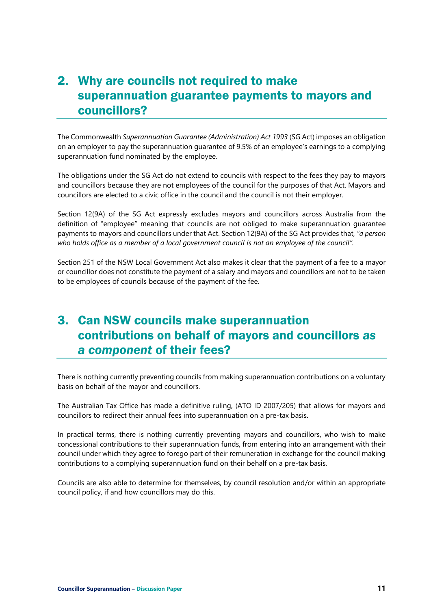## 2. Why are councils not required to make superannuation guarantee payments to mayors and councillors?

The Commonwealth *Superannuation Guarantee (Administration) Act 1993* (SG Act) imposes an obligation on an employer to pay the superannuation guarantee of 9.5% of an employee's earnings to a complying superannuation fund nominated by the employee.

The obligations under the SG Act do not extend to councils with respect to the fees they pay to mayors and councillors because they are not employees of the council for the purposes of that Act. Mayors and councillors are elected to a civic office in the council and the council is not their employer.

Section 12(9A) of the SG Act expressly excludes mayors and councillors across Australia from the definition of "employee" meaning that councils are not obliged to make superannuation guarantee payments to mayors and councillors under that Act. Section 12(9A) of the SG Act provides that, *"a person who holds office as a member of a local government council is not an employee of the council".*

Section 251 of the NSW Local Government Act also makes it clear that the payment of a fee to a mayor or councillor does not constitute the payment of a salary and mayors and councillors are not to be taken to be employees of councils because of the payment of the fee.

### 3. Can NSW councils make superannuation contributions on behalf of mayors and councillors *as a component* of their fees?

There is nothing currently preventing councils from making superannuation contributions on a voluntary basis on behalf of the mayor and councillors.

The Australian Tax Office has made a definitive ruling, (ATO ID 2007/205) that allows for mayors and councillors to redirect their annual fees into superannuation on a pre-tax basis.

In practical terms, there is nothing currently preventing mayors and councillors, who wish to make concessional contributions to their superannuation funds, from entering into an arrangement with their council under which they agree to forego part of their remuneration in exchange for the council making contributions to a complying superannuation fund on their behalf on a pre-tax basis.

Councils are also able to determine for themselves, by council resolution and/or within an appropriate council policy, if and how councillors may do this.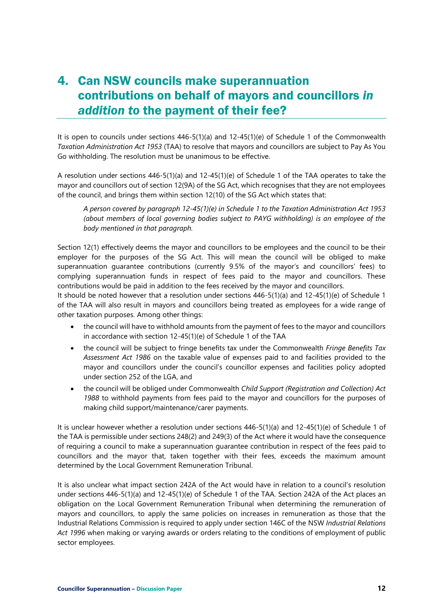# 4. Can NSW councils make superannuation contributions on behalf of mayors and councillors *in addition to* the payment of their fee?

It is open to councils under sections 446-5(1)(a) and 12-45(1)(e) of Schedule 1 of the Commonwealth *Taxation Administration Act 1953* (TAA) to resolve that mayors and councillors are subject to Pay As You Go withholding. The resolution must be unanimous to be effective.

A resolution under sections 446-5(1)(a) and 12-45(1)(e) of Schedule 1 of the TAA operates to take the mayor and councillors out of section 12(9A) of the SG Act, which recognises that they are not employees of the council, and brings them within section 12(10) of the SG Act which states that:

*A person covered by paragraph 12-45(1)(e) in Schedule 1 to the Taxation Administration Act 1953 (about members of local governing bodies subject to PAYG withholding) is an employee of the body mentioned in that paragraph.*

Section 12(1) effectively deems the mayor and councillors to be employees and the council to be their employer for the purposes of the SG Act. This will mean the council will be obliged to make superannuation guarantee contributions (currently 9.5% of the mayor's and councillors' fees) to complying superannuation funds in respect of fees paid to the mayor and councillors. These contributions would be paid in addition to the fees received by the mayor and councillors.

It should be noted however that a resolution under sections 446-5(1)(a) and 12-45(1)(e) of Schedule 1 of the TAA will also result in mayors and councillors being treated as employees for a wide range of other taxation purposes. Among other things:

- the council will have to withhold amounts from the payment of fees to the mayor and councillors in accordance with section 12-45(1)(e) of Schedule 1 of the TAA
- the council will be subject to fringe benefits tax under the Commonwealth *Fringe Benefits Tax Assessment Act 1986* on the taxable value of expenses paid to and facilities provided to the mayor and councillors under the council's councillor expenses and facilities policy adopted under section 252 of the LGA, and
- the council will be obliged under Commonwealth *Child Support (Registration and Collection) Act 1988* to withhold payments from fees paid to the mayor and councillors for the purposes of making child support/maintenance/carer payments.

It is unclear however whether a resolution under sections 446-5(1)(a) and 12-45(1)(e) of Schedule 1 of the TAA is permissible under sections 248(2) and 249(3) of the Act where it would have the consequence of requiring a council to make a superannuation guarantee contribution in respect of the fees paid to councillors and the mayor that, taken together with their fees, exceeds the maximum amount determined by the Local Government Remuneration Tribunal.

It is also unclear what impact section 242A of the Act would have in relation to a council's resolution under sections 446-5(1)(a) and 12-45(1)(e) of Schedule 1 of the TAA. Section 242A of the Act places an obligation on the Local Government Remuneration Tribunal when determining the remuneration of mayors and councillors, to apply the same policies on increases in remuneration as those that the Industrial Relations Commission is required to apply under section 146C of the NSW *Industrial Relations Act 1996* when making or varying awards or orders relating to the conditions of employment of public sector employees.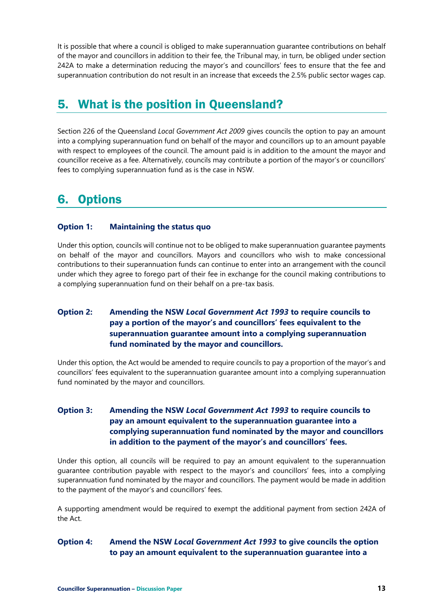It is possible that where a council is obliged to make superannuation guarantee contributions on behalf of the mayor and councillors in addition to their fee, the Tribunal may, in turn, be obliged under section 242A to make a determination reducing the mayor's and councillors' fees to ensure that the fee and superannuation contribution do not result in an increase that exceeds the 2.5% public sector wages cap.

# 5. What is the position in Queensland?

Section 226 of the Queensland *Local Government Act 2009* gives councils the option to pay an amount into a complying superannuation fund on behalf of the mayor and councillors up to an amount payable with respect to employees of the council. The amount paid is in addition to the amount the mayor and councillor receive as a fee. Alternatively, councils may contribute a portion of the mayor's or councillors' fees to complying superannuation fund as is the case in NSW.

# 6. Options

#### **Option 1: Maintaining the status quo**

Under this option, councils will continue not to be obliged to make superannuation guarantee payments on behalf of the mayor and councillors. Mayors and councillors who wish to make concessional contributions to their superannuation funds can continue to enter into an arrangement with the council under which they agree to forego part of their fee in exchange for the council making contributions to a complying superannuation fund on their behalf on a pre-tax basis.

#### **Option 2: Amending the NSW** *Local Government Act 1993* **to require councils to pay a portion of the mayor's and councillors' fees equivalent to the superannuation guarantee amount into a complying superannuation fund nominated by the mayor and councillors.**

Under this option, the Act would be amended to require councils to pay a proportion of the mayor's and councillors' fees equivalent to the superannuation guarantee amount into a complying superannuation fund nominated by the mayor and councillors.

#### **Option 3: Amending the NSW** *Local Government Act 1993* **to require councils to pay an amount equivalent to the superannuation guarantee into a complying superannuation fund nominated by the mayor and councillors in addition to the payment of the mayor's and councillors' fees.**

Under this option, all councils will be required to pay an amount equivalent to the superannuation guarantee contribution payable with respect to the mayor's and councillors' fees, into a complying superannuation fund nominated by the mayor and councillors. The payment would be made in addition to the payment of the mayor's and councillors' fees.

A supporting amendment would be required to exempt the additional payment from section 242A of the Act.

#### **Option 4: Amend the NSW** *Local Government Act 1993* **to give councils the option to pay an amount equivalent to the superannuation guarantee into a**